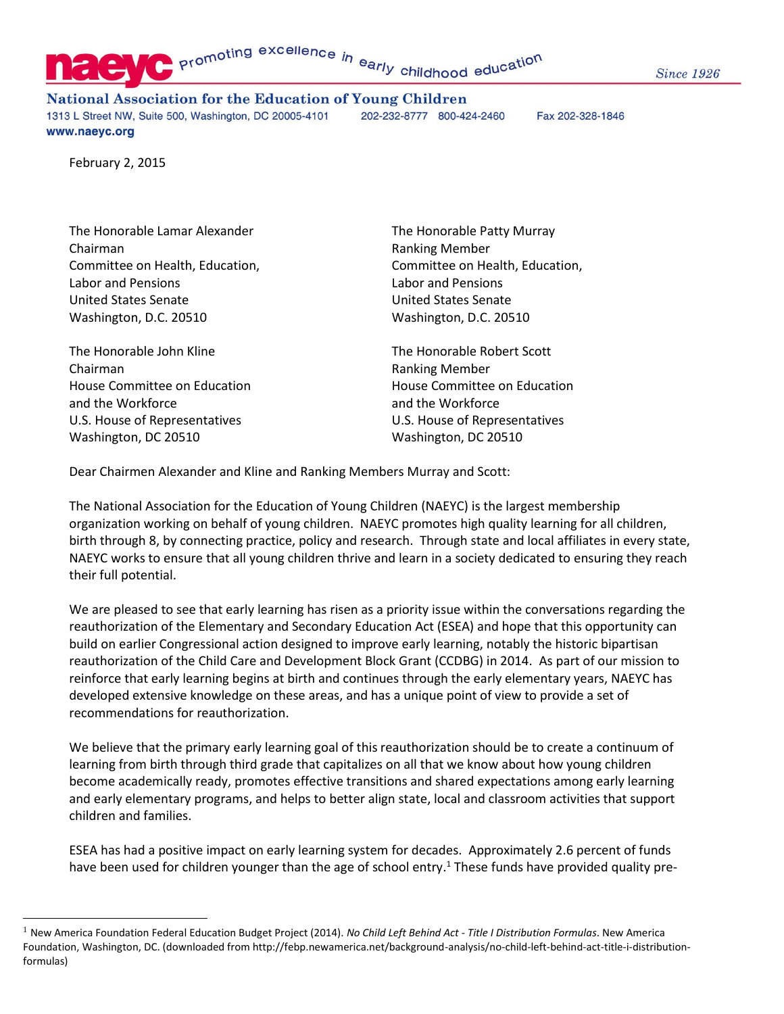Promoting excellence in early childhood education

**Since 1926** 

**National Association for the Education of Young Children** 

1313 L Street NW, Suite 500, Washington, DC 20005-4101 202-232-8777 800-424-2460 Fax 202-328-1846 www.naeyc.org

February 2, 2015

The Honorable Lamar Alexander The Honorable Patty Murray Chairman Ranking Member Labor and Pensions Labor and Pensions United States Senate United States Senate Washington, D.C. 20510 Washington, D.C. 20510

The Honorable John Kline The Honorable Robert Scott Chairman **Ranking Member** Chairman **Ranking Member** and the Workforce and the Workforce and the Workforce U.S. House of Representatives U.S. House of Representatives Washington, DC 20510 Washington, DC 20510

J.

Committee on Health, Education, Committee on Health, Education,

House Committee on Education **House Committee on Education** 

Dear Chairmen Alexander and Kline and Ranking Members Murray and Scott:

The National Association for the Education of Young Children (NAEYC) is the largest membership organization working on behalf of young children. NAEYC promotes high quality learning for all children, birth through 8, by connecting practice, policy and research. Through state and local affiliates in every state, NAEYC works to ensure that all young children thrive and learn in a society dedicated to ensuring they reach their full potential.

We are pleased to see that early learning has risen as a priority issue within the conversations regarding the reauthorization of the Elementary and Secondary Education Act (ESEA) and hope that this opportunity can build on earlier Congressional action designed to improve early learning, notably the historic bipartisan reauthorization of the Child Care and Development Block Grant (CCDBG) in 2014. As part of our mission to reinforce that early learning begins at birth and continues through the early elementary years, NAEYC has developed extensive knowledge on these areas, and has a unique point of view to provide a set of recommendations for reauthorization.

We believe that the primary early learning goal of this reauthorization should be to create a continuum of learning from birth through third grade that capitalizes on all that we know about how young children become academically ready, promotes effective transitions and shared expectations among early learning and early elementary programs, and helps to better align state, local and classroom activities that support children and families.

ESEA has had a positive impact on early learning system for decades. Approximately 2.6 percent of funds have been used for children younger than the age of school entry.<sup>1</sup> These funds have provided quality pre-

<sup>1</sup> New America Foundation Federal Education Budget Project (2014). *No Child Left Behind Act - Title I Distribution Formulas*. New America Foundation, Washington, DC. (downloaded from http://febp.newamerica.net/background-analysis/no-child-left-behind-act-title-i-distributionformulas)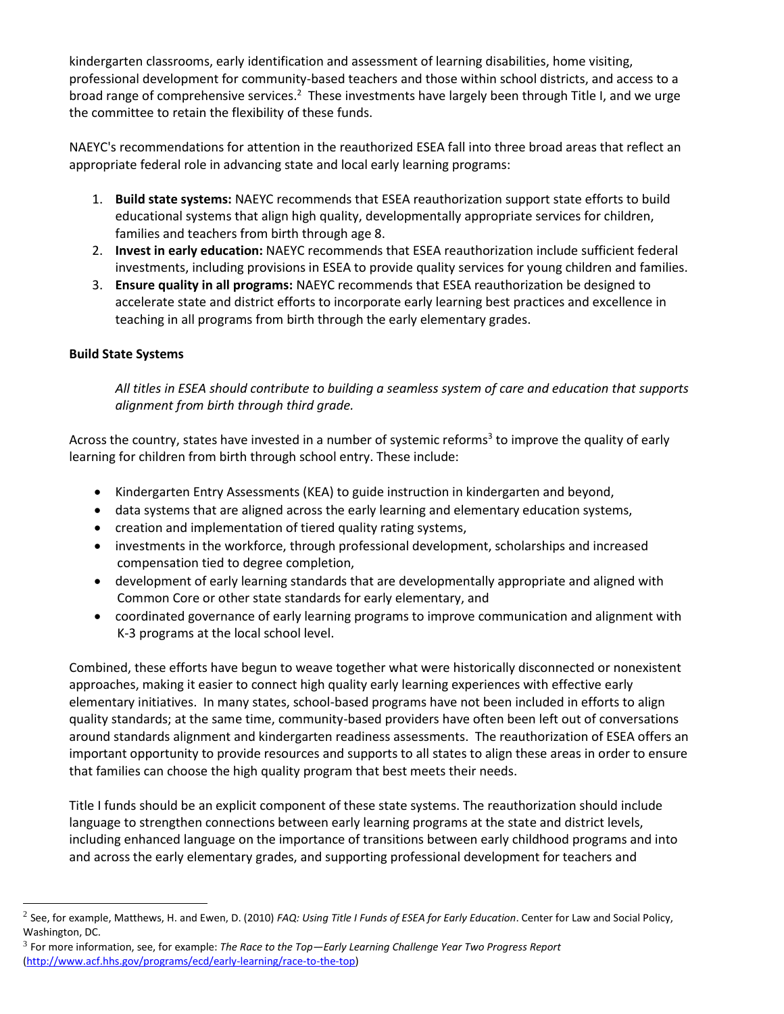kindergarten classrooms, early identification and assessment of learning disabilities, home visiting, professional development for community-based teachers and those within school districts, and access to a broad range of comprehensive services.<sup>2</sup> These investments have largely been through Title I, and we urge the committee to retain the flexibility of these funds.

NAEYC's recommendations for attention in the reauthorized ESEA fall into three broad areas that reflect an appropriate federal role in advancing state and local early learning programs:

- 1. **Build state systems:** NAEYC recommends that ESEA reauthorization support state efforts to build educational systems that align high quality, developmentally appropriate services for children, families and teachers from birth through age 8.
- 2. **Invest in early education:** NAEYC recommends that ESEA reauthorization include sufficient federal investments, including provisions in ESEA to provide quality services for young children and families.
- 3. **Ensure quality in all programs:** NAEYC recommends that ESEA reauthorization be designed to accelerate state and district efforts to incorporate early learning best practices and excellence in teaching in all programs from birth through the early elementary grades.

## **Build State Systems**

j.

*All titles in ESEA should contribute to building a seamless system of care and education that supports alignment from birth through third grade.* 

Across the country, states have invested in a number of systemic reforms<sup>3</sup> to improve the quality of early learning for children from birth through school entry. These include:

- Kindergarten Entry Assessments (KEA) to guide instruction in kindergarten and beyond,
- data systems that are aligned across the early learning and elementary education systems,
- creation and implementation of tiered quality rating systems,
- investments in the workforce, through professional development, scholarships and increased compensation tied to degree completion,
- development of early learning standards that are developmentally appropriate and aligned with Common Core or other state standards for early elementary, and
- coordinated governance of early learning programs to improve communication and alignment with K-3 programs at the local school level.

Combined, these efforts have begun to weave together what were historically disconnected or nonexistent approaches, making it easier to connect high quality early learning experiences with effective early elementary initiatives. In many states, school-based programs have not been included in efforts to align quality standards; at the same time, community-based providers have often been left out of conversations around standards alignment and kindergarten readiness assessments. The reauthorization of ESEA offers an important opportunity to provide resources and supports to all states to align these areas in order to ensure that families can choose the high quality program that best meets their needs.

Title I funds should be an explicit component of these state systems. The reauthorization should include language to strengthen connections between early learning programs at the state and district levels, including enhanced language on the importance of transitions between early childhood programs and into and across the early elementary grades, and supporting professional development for teachers and

<sup>2</sup> See, for example, Matthews, H. and Ewen, D. (2010) *FAQ: Using Title I Funds of ESEA for Early Education*. Center for Law and Social Policy, Washington, DC.

<sup>3</sup> For more information, see, for example: *The Race to the Top—Early Learning Challenge Year Two Progress Report*  [\(http://www.acf.hhs.gov/programs/ecd/early-learning/race-to-the-top\)](http://www.acf.hhs.gov/programs/ecd/early-learning/race-to-the-top)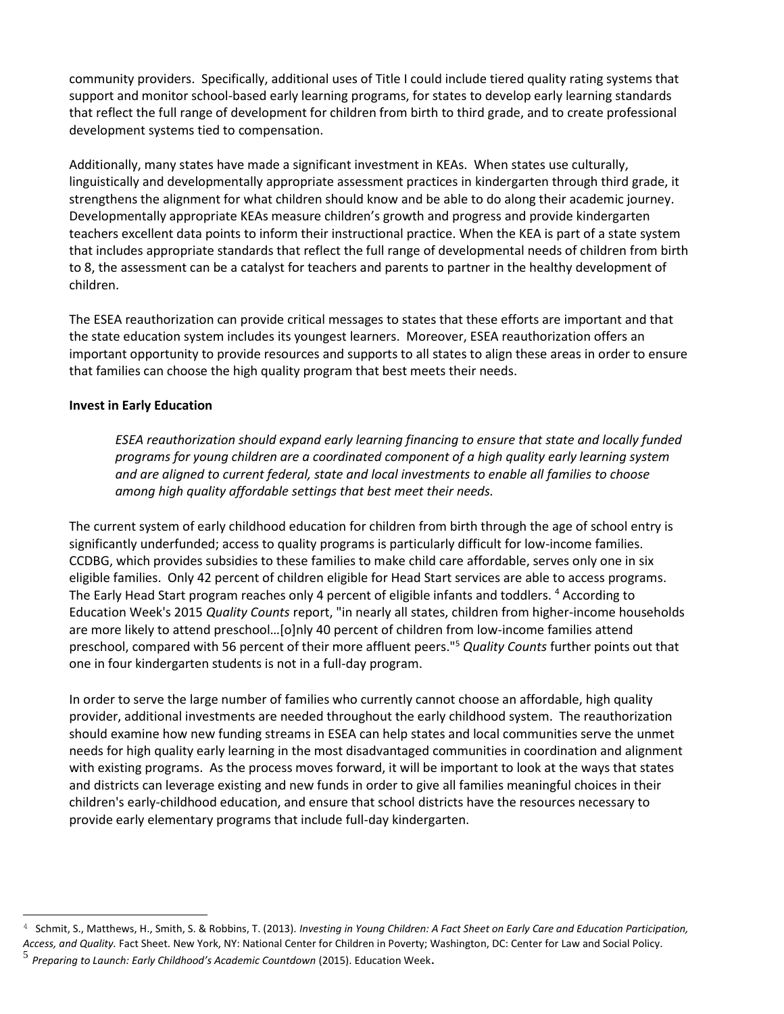community providers. Specifically, additional uses of Title I could include tiered quality rating systems that support and monitor school-based early learning programs, for states to develop early learning standards that reflect the full range of development for children from birth to third grade, and to create professional development systems tied to compensation.

Additionally, many states have made a significant investment in KEAs. When states use culturally, linguistically and developmentally appropriate assessment practices in kindergarten through third grade, it strengthens the alignment for what children should know and be able to do along their academic journey. Developmentally appropriate KEAs measure children's growth and progress and provide kindergarten teachers excellent data points to inform their instructional practice. When the KEA is part of a state system that includes appropriate standards that reflect the full range of developmental needs of children from birth to 8, the assessment can be a catalyst for teachers and parents to partner in the healthy development of children.

The ESEA reauthorization can provide critical messages to states that these efforts are important and that the state education system includes its youngest learners. Moreover, ESEA reauthorization offers an important opportunity to provide resources and supports to all states to align these areas in order to ensure that families can choose the high quality program that best meets their needs.

## **Invest in Early Education**

*ESEA reauthorization should expand early learning financing to ensure that state and locally funded programs for young children are a coordinated component of a high quality early learning system and are aligned to current federal, state and local investments to enable all families to choose among high quality affordable settings that best meet their needs.* 

The current system of early childhood education for children from birth through the age of school entry is significantly underfunded; access to quality programs is particularly difficult for low-income families. CCDBG, which provides subsidies to these families to make child care affordable, serves only one in six eligible families. Only 42 percent of children eligible for Head Start services are able to access programs. The Early Head Start program reaches only 4 percent of eligible infants and toddlers. <sup>4</sup> According to Education Week's 2015 *Quality Counts* report, "in nearly all states, children from higher-income households are more likely to attend preschool…[o]nly 40 percent of children from low-income families attend preschool, compared with 56 percent of their more affluent peers."<sup>5</sup> *Quality Counts* further points out that one in four kindergarten students is not in a full-day program.

In order to serve the large number of families who currently cannot choose an affordable, high quality provider, additional investments are needed throughout the early childhood system. The reauthorization should examine how new funding streams in ESEA can help states and local communities serve the unmet needs for high quality early learning in the most disadvantaged communities in coordination and alignment with existing programs. As the process moves forward, it will be important to look at the ways that states and districts can leverage existing and new funds in order to give all families meaningful choices in their children's early-childhood education, and ensure that school districts have the resources necessary to provide early elementary programs that include full-day kindergarten.

j.

<sup>4</sup> Schmit, S., Matthews, H., Smith, S. & Robbins, T. (2013). *Investing in Young Children: A Fact Sheet on Early Care and Education Participation, Access, and Quality.* Fact Sheet. New York, NY: National Center for Children in Poverty; Washington, DC: Center for Law and Social Policy.

<sup>5</sup> *Preparing to Launch: Early Childhood's Academic Countdown* (2015). Education Week.